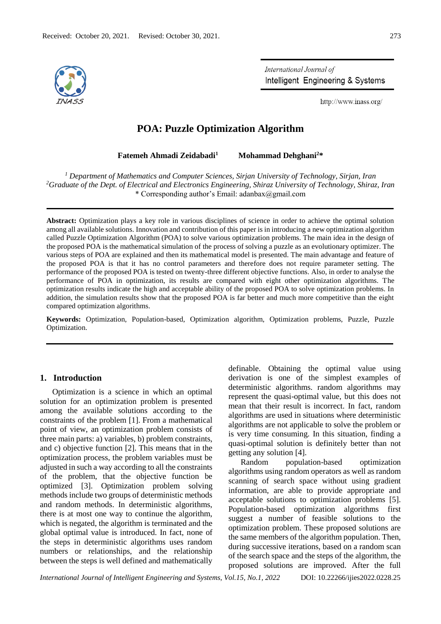

International Journal of Intelligent Engineering & Systems

http://www.inass.org/

# **POA: Puzzle Optimization Algorithm**

**Fatemeh Ahmadi Zeidabadi<sup>1</sup> Mohammad Dehghani<sup>2</sup>\***

*<sup>1</sup> Department of Mathematics and Computer Sciences, Sirjan University of Technology, Sirjan, Iran <sup>2</sup>Graduate of the Dept. of Electrical and Electronics Engineering, Shiraz University of Technology, Shiraz, Iran* \* Corresponding author's Email: adanbax@gmail.com

**Abstract:** Optimization plays a key role in various disciplines of science in order to achieve the optimal solution among all available solutions. Innovation and contribution of this paper is in introducing a new optimization algorithm called Puzzle Optimization Algorithm (POA) to solve various optimization problems. The main idea in the design of the proposed POA is the mathematical simulation of the process of solving a puzzle as an evolutionary optimizer. The various steps of POA are explained and then its mathematical model is presented. The main advantage and feature of the proposed POA is that it has no control parameters and therefore does not require parameter setting. The performance of the proposed POA is tested on twenty-three different objective functions. Also, in order to analyse the performance of POA in optimization, its results are compared with eight other optimization algorithms. The optimization results indicate the high and acceptable ability of the proposed POA to solve optimization problems. In addition, the simulation results show that the proposed POA is far better and much more competitive than the eight compared optimization algorithms.

**Keywords:** Optimization, Population-based, Optimization algorithm, Optimization problems, Puzzle, Puzzle Optimization.

### **1. Introduction**

Optimization is a science in which an optimal solution for an optimization problem is presented among the available solutions according to the constraints of the problem [1]. From a mathematical point of view, an optimization problem consists of three main parts: a) variables, b) problem constraints, and c) objective function [2]. This means that in the optimization process, the problem variables must be adjusted in such a way according to all the constraints of the problem, that the objective function be optimized [3]. Optimization problem solving methods include two groups of deterministic methods and random methods. In deterministic algorithms, there is at most one way to continue the algorithm, which is negated, the algorithm is terminated and the global optimal value is introduced. In fact, none of the steps in deterministic algorithms uses random numbers or relationships, and the relationship between the steps is well defined and mathematically

definable. Obtaining the optimal value using derivation is one of the simplest examples of deterministic algorithms. random algorithms may represent the quasi-optimal value, but this does not mean that their result is incorrect. In fact, random algorithms are used in situations where deterministic algorithms are not applicable to solve the problem or is very time consuming. In this situation, finding a quasi-optimal solution is definitely better than not getting any solution [4].

Random population-based optimization algorithms using random operators as well as random scanning of search space without using gradient information, are able to provide appropriate and acceptable solutions to optimization problems [5]. Population-based optimization algorithms first suggest a number of feasible solutions to the optimization problem. These proposed solutions are the same members of the algorithm population. Then, during successive iterations, based on a random scan of the search space and the steps of the algorithm, the proposed solutions are improved. After the full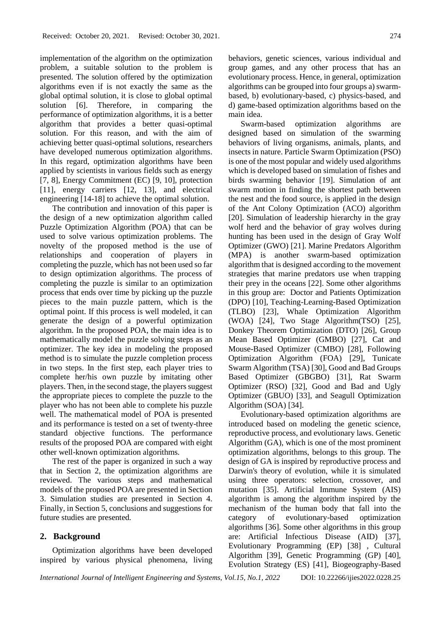implementation of the algorithm on the optimization problem, a suitable solution to the problem is presented. The solution offered by the optimization algorithms even if is not exactly the same as the global optimal solution, it is close to global optimal solution [6]. Therefore, in comparing the performance of optimization algorithms, it is a better algorithm that provides a better quasi-optimal solution. For this reason, and with the aim of achieving better quasi-optimal solutions, researchers have developed numerous optimization algorithms. In this regard, optimization algorithms have been applied by scientists in various fields such as energy [7, 8], Energy Commitment (EC) [9, 10], protection [11], energy carriers [12, 13], and electrical engineering [14-18] to achieve the optimal solution.

The contribution and innovation of this paper is the design of a new optimization algorithm called Puzzle Optimization Algorithm (POA) that can be used to solve various optimization problems. The novelty of the proposed method is the use of relationships and cooperation of players in completing the puzzle, which has not been used so far to design optimization algorithms. The process of completing the puzzle is similar to an optimization process that ends over time by picking up the puzzle pieces to the main puzzle pattern, which is the optimal point. If this process is well modeled, it can generate the design of a powerful optimization algorithm. In the proposed POA, the main idea is to mathematically model the puzzle solving steps as an optimizer. The key idea in modeling the proposed method is to simulate the puzzle completion process in two steps. In the first step, each player tries to complete her/his own puzzle by imitating other players. Then, in the second stage, the players suggest the appropriate pieces to complete the puzzle to the player who has not been able to complete his puzzle well. The mathematical model of POA is presented and its performance is tested on a set of twenty-three standard objective functions. The performance results of the proposed POA are compared with eight other well-known optimization algorithms.

The rest of the paper is organized in such a way that in Section 2, the optimization algorithms are reviewed. The various steps and mathematical models of the proposed POA are presented in Section 3. Simulation studies are presented in Section 4. Finally, in Section 5, conclusions and suggestions for future studies are presented.

# **2. Background**

Optimization algorithms have been developed inspired by various physical phenomena, living behaviors, genetic sciences, various individual and group games, and any other process that has an evolutionary process. Hence, in general, optimization algorithms can be grouped into four groups a) swarmbased, b) evolutionary-based, c) physics-based, and d) game-based optimization algorithms based on the main idea.

Swarm-based optimization algorithms are designed based on simulation of the swarming behaviors of living organisms, animals, plants, and insects in nature. Particle Swarm Optimization (PSO) is one of the most popular and widely used algorithms which is developed based on simulation of fishes and birds swarming behavior [19]. Simulation of ant swarm motion in finding the shortest path between the nest and the food source, is applied in the design of the Ant Colony Optimization (ACO) algorithm [20]. Simulation of leadership hierarchy in the gray wolf herd and the behavior of gray wolves during hunting has been used in the design of Gray Wolf Optimizer (GWO) [21]. Marine Predators Algorithm (MPA) is another swarm-based optimization algorithm that is designed according to the movement strategies that marine predators use when trapping their prey in the oceans [22]. Some other algorithms in this group are: Doctor and Patients Optimization (DPO) [10], Teaching-Learning-Based Optimization (TLBO) [23], Whale Optimization Algorithm (WOA) [24], Two Stage Algorithm(TSO) [25], Donkey Theorem Optimization (DTO) [26], Group Mean Based Optimizer (GMBO) [27], Cat and Mouse-Based Optimizer (CMBO) [28], Following Optimization Algorithm (FOA) [29], Tunicate Swarm Algorithm (TSA) [30], Good and Bad Groups Based Optimizer (GBGBO) [31], Rat Swarm Optimizer (RSO) [32], Good and Bad and Ugly Optimizer (GBUO) [33], and Seagull Optimization Algorithm (SOA) [34].

Evolutionary-based optimization algorithms are introduced based on modeling the genetic science, reproductive process, and evolutionary laws. Genetic Algorithm (GA), which is one of the most prominent optimization algorithms, belongs to this group. The design of GA is inspired by reproductive process and Darwin's theory of evolution, while it is simulated using three operators: selection, crossover, and mutation [35]. Artificial Immune System (AIS) algorithm is among the algorithm inspired by the mechanism of the human body that fall into the category of evolutionary-based optimization algorithms [36]. Some other algorithms in this group are: Artificial Infectious Disease (AID) [37], Evolutionary Programming (EP) [38] , Cultural Algorithm [39], Genetic Programming (GP) [40], Evolution Strategy (ES) [41], Biogeography-Based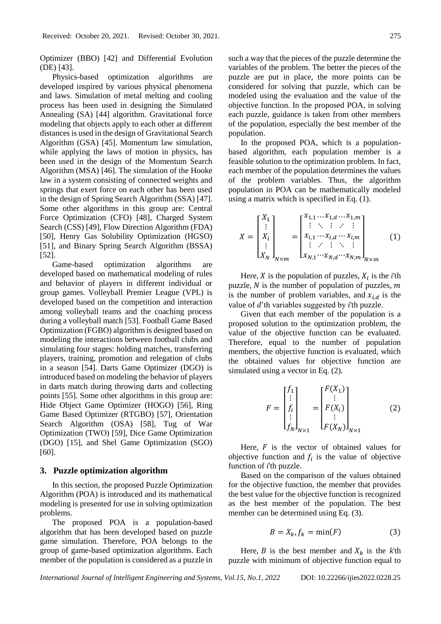Optimizer (BBO) [42] and Differential Evolution (DE) [43].

Physics-based optimization algorithms are developed inspired by various physical phenomena and laws. Simulation of metal melting and cooling process has been used in designing the Simulated Annealing (SA) [44] algorithm. Gravitational force modeling that objects apply to each other at different distances is used in the design of Gravitational Search Algorithm (GSA) [45]. Momentum law simulation, while applying the laws of motion in physics, has been used in the design of the Momentum Search Algorithm (MSA) [46]. The simulation of the Hooke law in a system consisting of connected weights and springs that exert force on each other has been used in the design of Spring Search Algorithm (SSA) [47]. Some other algorithms in this group are: Central Force Optimization (CFO) [48], Charged System Search (CSS) [49], Flow Direction Algorithm (FDA) [50], Henry Gas Solubility Optimization (HGSO) [51], and Binary Spring Search Algorithm (BSSA) [52].

Game-based optimization algorithms are developed based on mathematical modeling of rules and behavior of players in different individual or group games. Volleyball Premier League (VPL) is developed based on the competition and interaction among volleyball teams and the coaching process during a volleyball match [53]. Football Game Based Optimization (FGBO) algorithm is designed based on modeling the interactions between football clubs and simulating four stages: holding matches, transferring players, training, promotion and relegation of clubs in a season [54]. Darts Game Optimizer (DGO) is introduced based on modeling the behavior of players in darts match during throwing darts and collecting points [55]. Some other algorithms in this group are: Hide Object Game Optimizer (HOGO) [56], Ring Game Based Optimizer (RTGBO) [57], Orientation Search Algorithm (OSA) [58], Tug of War Optimization (TWO) [59], Dice Game Optimization (DGO) [15], and Shel Game Optimization (SGO) [60].

#### **3. Puzzle optimization algorithm**

In this section, the proposed Puzzle Optimization Algorithm (POA) is introduced and its mathematical modeling is presented for use in solving optimization problems.

The proposed POA is a population-based algorithm that has been developed based on puzzle game simulation. Therefore, POA belongs to the group of game-based optimization algorithms. Each member of the population is considered as a puzzle in such a way that the pieces of the puzzle determine the variables of the problem. The better the pieces of the puzzle are put in place, the more points can be considered for solving that puzzle, which can be modeled using the evaluation and the value of the objective function. In the proposed POA, in solving each puzzle, guidance is taken from other members of the population, especially the best member of the population.

In the proposed POA, which is a populationbased algorithm, each population member is a feasible solution to the optimization problem. In fact, each member of the population determines the values of the problem variables. Thus, the algorithm population in POA can be mathematically modeled using a matrix which is specified in Eq. (1).

$$
X = \begin{bmatrix} X_1 \\ \vdots \\ X_i \\ \vdots \\ X_N \end{bmatrix}_{N \times m} = \begin{bmatrix} x_{1,1} \dots x_{1,d} \dots x_{1,m} \\ \vdots & \ddots & \vdots \\ x_{i,1} \dots x_{i,d} \dots x_{i,m} \\ \vdots & \vdots & \ddots & \vdots \\ x_{N,1} \dots x_{N,d} \dots x_{N,m} \end{bmatrix}_{N \times m}
$$
 (1)

Here,  $X$  is the population of puzzles,  $X_i$  is the *i*<sup>th</sup> puzzle,  $N$  is the number of population of puzzles,  $m$ is the number of problem variables, and  $x_{i,d}$  is the value of *d*'th variables suggested by *i*'th puzzle.

Given that each member of the population is a proposed solution to the optimization problem, the value of the objective function can be evaluated. Therefore, equal to the number of population members, the objective function is evaluated, which the obtained values for objective function are simulated using a vector in Eq. (2).

$$
F = \begin{bmatrix} f_1 \\ \vdots \\ f_i \\ \vdots \\ f_N \end{bmatrix}_{N \times 1} = \begin{bmatrix} F(X_1) \\ \vdots \\ F(X_i) \\ \vdots \\ F(X_N) \end{bmatrix}_{N \times 1} \tag{2}
$$

Here,  $F$  is the vector of obtained values for objective function and  $f_i$  is the value of objective function of *i*'th puzzle.

Based on the comparison of the values obtained for the objective function, the member that provides the best value for the objective function is recognized as the best member of the population. The best member can be determined using Eq. (3).

$$
B = X_k, f_k = \min(F) \tag{3}
$$

Here, *B* is the best member and  $X_k$  is the *k*'th puzzle with minimum of objective function equal to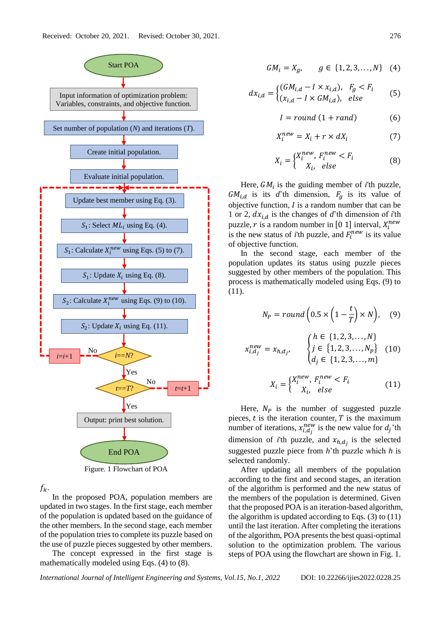

Figure. 1 Flowchart of POA

 $f_k$ .

In the proposed POA, population members are updated in two stages. In the first stage, each member of the population is updated based on the guidance of the other members. In the second stage, each member of the population tries to complete its puzzle based on the use of puzzle pieces suggested by other members.

The concept expressed in the first stage is mathematically modeled using Eqs. (4) to (8).

$$
GM_i = X_g, \qquad g \in \{1, 2, 3, \dots, N\} \quad (4)
$$

$$
dx_{i,d} = \begin{cases} (GM_{i,d} - I \times x_{i,d}), & F_g < F_i \\ (x_{i,d} - I \times GM_{i,d}), & \text{else} \end{cases} \tag{5}
$$

$$
I = round (1 + rand)
$$
 (6)

$$
X_i^{new} = X_i + r \times dX_i \tag{7}
$$

$$
X_i = \begin{cases} X_i^{new}, F_i^{new} < F_i \\ X_i, \text{ else} \end{cases} \tag{8}
$$

Here,  $GM_i$  is the guiding member of *i*'th puzzle,  $GM_{i,d}$  is its *d*'th dimension,  $F_g$  is its value of objective function,  $I$  is a random number that can be 1 or 2,  $dx_{i,d}$  is the changes of *d*'th dimension of *i*'th puzzle, r is a random number in [0 1] interval,  $X_i^{new}$ is the new status of *i*'th puzzle, and  $F_i^{new}$  is its value of objective function.

In the second stage, each member of the population updates its status using puzzle pieces suggested by other members of the population. This process is mathematically modeled using Eqs. (9) to (11).

$$
N_P = round\left(0.5 \times \left(1 - \frac{t}{T}\right) \times N\right),\quad(9)
$$

$$
x_{i,d_j}^{new} = x_{h,d_j}, \qquad \begin{cases} h \in \{1,2,3,\ldots,N\} \\ j \in \{1,2,3,\ldots,N_p\} \\ d_j \in \{1,2,3,\ldots,m\} \end{cases} \tag{10}
$$

$$
X_i = \begin{cases} X_i^{new}, F_i^{new} < F_i \\ X_i, \text{ else} \end{cases} \tag{11}
$$

Here,  $N_p$  is the number of suggested puzzle pieces,  $t$  is the iteration counter,  $T$  is the maximum number of iterations,  $x_{i,d_j}^{new}$  is the new value for  $d_j$ 'th dimension of *i*'th puzzle, and  $x_{h,d_j}$  is the selected suggested puzzle piece from *h*'th puzzle which *h* is selected randomly.

After updating all members of the population according to the first and second stages, an iteration of the algorithm is performed and the new status of the members of the population is determined. Given that the proposed POA is an iteration-based algorithm, the algorithm is updated according to Eqs. (3) to (11) until the last iteration. After completing the iterations of the algorithm, POA presents the best quasi-optimal solution to the optimization problem. The various steps of POA using the flowchart are shown in Fig. 1.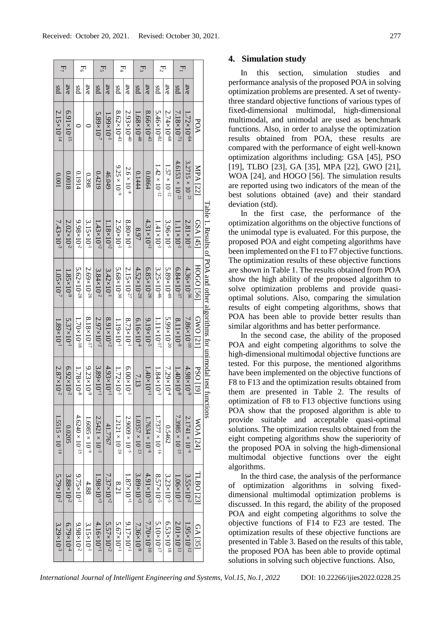| $F_7$                    |                        | $E_6$                    |                         | $E_5$                   |                       | $E_4$                    |                       | $E_3$                    |                         | $E_2$                    |                       | $F_1$                           |                          |                 |                                                                |
|--------------------------|------------------------|--------------------------|-------------------------|-------------------------|-----------------------|--------------------------|-----------------------|--------------------------|-------------------------|--------------------------|-----------------------|---------------------------------|--------------------------|-----------------|----------------------------------------------------------------|
| <b>std</b>               | ave                    | std                      | ave                     | std                     | ave                   | std                      | ave                   | std                      | ave                     | std                      | ave                   | std                             | ave                      |                 |                                                                |
| $2.15\times10^{-14}$     | $6.91 \times 10^{-15}$ | $\circ$                  |                         | $5.89\times10^{-7}$     | $1.99\times10^{-1}$   | $8.62\times10^{-43}$     | $2.93\times10^{-40}$  | $1.68\times10^{-48}$     | $8.66\times10^{-43}$    | $5.46\times10^{-82}$     | $2.74\times10^{-68}$  | $7.18\times10^{-73}$            | $1.72\times10^{-64}$     | POA             |                                                                |
| 100.0                    | 8100.0                 | 0.1914                   | 0.398                   | 0.4219                  | 46.049                | $9.25 \times 10^{-9}$    | $2.6\times10^{-8}$    | 0.1444                   | 0.0864                  | $1.42\times10^{-12}$     | $1.57\times10^{-12}$  | $4.6153 \times 10^{-21}$        | $3.2715 \times 10^{-21}$ | MPA [22]        |                                                                |
| $7.43\times10^{-3}$      | $2.02\times10^{-2}$    | $9.98 \times 10^{-2}$    | $3.15\times10^{-1}$     | $1.43\times10^{+2}$     | $1.18\times10^{+2}$   | $2.50 \times 10^{-1}$    | $8.80\times10^{-1}$   | 8.97                     | $4.31\times10^{+1}$     | $1.41 \times 10^{-1}$    | $3.96 \times 10^{-1}$ | $1.11\times10^{-1}$             | $2.81\times10^{-1}$      | $GSA$ [45]      |                                                                |
| $1.05\times10^{-7}$      | $1.85\times10^{-9}$    | $5.62\times10^{-28}$     | 2.69×10-26              | $3.84\times10^{-2}$     | $3.42\times10^{-1}$   | $5.68\times10^{-30}$     | $2.15\times10^{-27}$  | $4.52\times10^{-29}$     | $6.85\times10^{-26}$    | $3.25\times10^{-46}$     | $5.89\times10^{-49}$  | $6.84\times10^{-37}$            | 4.36×10 <sup>-36</sup>   | [95] OOOH       | Table 1. Results of POA and other algorithms for unimodal test |
| $1.89\times10^{-1}$      | $5.37 \times 10^{-1}$  | $1.70\times10^{-18}$     | $8.18\times10^{-17}$    | $2.97 \times 10^{+2}$   | $8.91 \times 10^{+2}$ | $1.19\times10^{-1}$      | $8.73\times10^{-1}$   | $6.16\times10^{-4}$      | $9.19\times10^{-5}$     | $1.11\times10^{-17}$     | $5.99\times10^{-20}$  | $8.11\times10^{-9}$             | $7.86\times10^{-10}$     | <b>GWO</b> [21] |                                                                |
| $2.87 \times 10^{-2}$    | $6.92 \times 10^{-2}$  | $1.78\times10^{-8}$      | $9.23\times10^{-9}$     | $3.89\times10^{+1}$     | $4.93\times10^{+1}$   | $1.72\times10^{-1}$      | $6.00\times10^{-1}$   | 7.13                     | $1.40\times10^{+1}$     | $1.84\times10^{-3}$      | $7.29\times10^{-4}$   | $1.40\times10$<br>$\frac{1}{8}$ | $4.98 \times 10^{-9}$    | <b>PSO</b> [19] | tunctions                                                      |
| $1.5515 \times 10^{-18}$ | 0.0205                 | $4.6240 \times 10^{-25}$ | $1.6085 \times 10^{-9}$ | $2.5421 \times 10^{-3}$ | 41.7767               | $1.2121 \times 10^{-20}$ | $2.9009\times10^{-5}$ | $1.0357 \times 10^{-23}$ | $1.7634 \times 10^{-8}$ | $1.7377 \times 10^{-16}$ | 0.5462                | $7.3985 \times 10^{-25}$        | $2.1741 \times 10^{-9}$  | WOA [24]        |                                                                |
| $5.79\times10^{-2}$      | $3.88 \times 10^{-2}$  | $9.75 \times 10^{-1}$    | 4.88                    | $1.98\times10^{+3}$     | $7.37\times10^{+2}$   | 8.21                     | $1.87\times10^{+1}$   | $3.89\times10^{+3}$      | $4.91 \times 10^{+3}$   | $8.57 \times 10^{-5}$    | $3.23 \times 10^{-5}$ | $1.06\times10^{-1}$             | $3.55 \times 10^{-2}$    | TLBO [23]       |                                                                |
| $3.29 \times 10^{-3}$    | $6.79\times10^{-4}$    | $9.98 \times 10^{-2}$    | $3.15 \times 10^{-1}$   | $4.16\times10^{+1}$     | $5.57\times10^{+2}$   | $5.67\times10^{+1}$      | $9.17\times10^{+1}$   | 7.36×10-9                | $7.70\times10^{-10}$    | 5.10×10 <sup>-17</sup>   | $6.53\times10^{-18}$  | $2.01\times10^{-11}$            | $1.95\times10^{-12}$     | <b>GA [35]</b>  |                                                                |

## **4. Simulation study**

In this section, simulation studies and performance analysis of the proposed POA in solving optimization problems are presented. A set of twentythree standard objective functions of various types of fixed-dimensional multimodal, high-dimensional multimodal, and unimodal are used as benchmark functions. Also, in order to analyse the optimization results obtained from POA, these results are compared with the performance of eight well-known optimization algorithms including: GSA [45], PSO [19], TLBO [23], GA [35], MPA [22], GWO [21], WOA [24], and HOGO [56]. The simulation results are reported using two indicators of the mean of the best solutions obtained (ave) and their standard deviation (std).

In the first case, the performance of the optimization algorithms on the objective functions of the unimodal type is evaluated. For this purpose, the proposed POA and eight competing algorithms have been implemented on the F1 to F7 objective functions. The optimization results of these objective functions are shown in Table 1. The results obtained from POA show the high ability of the proposed algorithm to solve optimization problems and provide quasioptimal solutions. Also, comparing the simulation results of eight competing algorithms, shows that POA has been able to provide better results than similar algorithms and has better performance.

In the second case, the ability of the proposed POA and eight competing algorithms to solve the high-dimensional multimodal objective functions are tested. For this purpose, the mentioned algorithms have been implemented on the objective functions of F8 to F13 and the optimization results obtained from them are presented in Table 2. The results of optimization of F8 to F13 objective functions using POA show that the proposed algorithm is able to provide suitable and acceptable quasi-optimal solutions. The optimization results obtained from the eight competing algorithms show the superiority of the proposed POA in solving the high-dimensional multimodal objective functions over the eight algorithms.

In the third case, the analysis of the performance of optimization algorithms in solving fixeddimensional multimodal optimization problems is discussed. In this regard, the ability of the proposed POA and eight competing algorithms to solve the objective functions of F14 to F23 are tested. The optimization results of these objective functions are presented in Table 3. Based on the results of this table, the proposed POA has been able to provide optimal solutions in solving such objective functions. Also,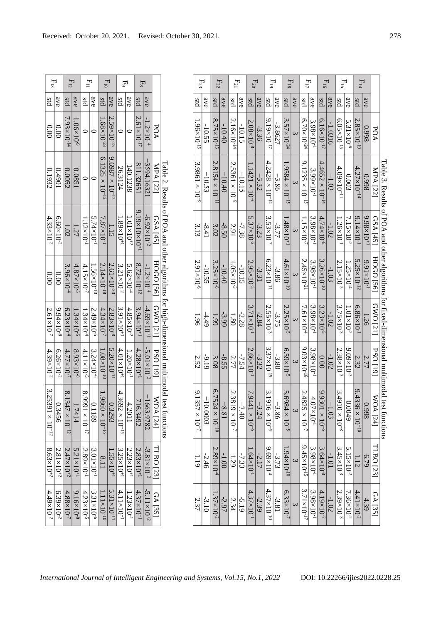| $F_{13}$                    |                     | $F_{12}$               |                       | $F_{11}$                 |                      | $E_{10}$                 |                              | $F_9$                    |                       | $E_8$                       |                                 |                             |                                                                                             |
|-----------------------------|---------------------|------------------------|-----------------------|--------------------------|----------------------|--------------------------|------------------------------|--------------------------|-----------------------|-----------------------------|---------------------------------|-----------------------------|---------------------------------------------------------------------------------------------|
| <b>std</b>                  | ave                 | std                    | ave                   | pig                      | ave                  | std                      |                              | sd                       | ave                   | std                         | ave                             |                             |                                                                                             |
| 00.00                       | 0.00                | $7.93\times10^{-14}$   | $1.06\times10^{-9}$   | $\circ$                  | $\circ$              | $1.68\times10^{-28}$     | ave   $2.59 \times 10^{-25}$ | $\circ$                  | $\subset$             | $2.61\times10^{-17}$        | $-1.2\times10^{+4}$             | $_{\rm PO4}$                |                                                                                             |
| 0.1932                      | 106+70              | 0.0052                 | 0.0851                | $\circ$                  | $\subset$            | $6.1325 \times 10^{-12}$ | $9.6987 \times 10^{-12}$     | 26.3124                  | 140.1238              | 811.32651                   | $-3594.16321$                   | MPA [22]                    |                                                                                             |
| $4.33\times10^{-2}$         | $6.60\times10^{-2}$ | 1.02                   | 1.27                  | $1.12\times10^{-1}$      | $5.74\times10^{-1}$  | $7.87\times10^{-1}$      | 1.15                         | $1.89\times10^{+1}$      | $1.01\times10^{+2}$   | $9.19\times10\times10^{+1}$ | $-6.92\times10^{+2}$            | <b>GSA</b> [45]             |                                                                                             |
| 00.00                       | 0.00                | $3.96 \times 10^{-4}$  | $4.87\times10^{-5}$   | $4.15\times10^{-7}$      | $1.56\times10^{-10}$ | $2.14\times10^{-18}$     | $2.61\times10^{-20}$         | $3.21 \times 10^{-2}$    | $5.62\times10^{-4}$   | $8.72\times10^{-12}$        | $-1.2\times10^{+4}$             | $HOGO$ [56] $\mid$ GWO [21] |                                                                                             |
| $2.61 \times 10^{-7}$       | $9.94\times10^{-8}$ | $6.23\times10^{-4}$    | $1.34\times10^{-5}$   | $1.34\times10^{-4}$      | $2.49\times10^{-5}$  | $4.34\times10^{-7}$      | $2.83 \times 10^{-8}$        | $3.91\times10^{-1}$      | $4.85\times10^{-2}$   | $3.94\times10^{+1}$         | $-4.69\times10^{+1}$            |                             |                                                                                             |
| $4.39\times10^{-2}$         | $6.26\times10^{-2}$ | $4.77\times10^{-7}$    | $8.93\times10^{-8}$   | $4.11 \times 10^{-5}$    | $3.24\times10^{-6}$  | $1.08\times10^{-10}$     | $5.20\times10^{-11}$         | $4.01\times10^{+1}$      | $1.20\times10^{-1}$   | $4.28\times10^{+1}$         | $-5.01\times10^{+2}$            | PSO <sub>[19]</sub>         |                                                                                             |
| 3.253<br>$11\times10^{-12}$ | 0.3456              | $8.1347\times10^{-12}$ | 1.7414                | $8.9991 \times 10^{-17}$ | 61189                | $1.9860 \times 10^{-16}$ | 0.3293                       | $4.3692 \times 10^{-15}$ | 4.2011                | 716.3492                    | $-1663.9782$                    | <b>WOA</b> [24]             | Table 2. Results of POA and other algorithms for high-dimensional multimodal test functions |
| $8.63\times10^{+2}$         | $2.81\times10^{+2}$ | $2.47\times10^{+2}$    | $5.21 \times 10^{+1}$ | $2.89\times10^{-1}$      | $3.01\times10^{-1}$  | 8.11                     | $1.55 \times 10^{+1}$        | $3.25\times10^{+1}$      | $2.23 \times 10^{+1}$ | $2.83\times10^{+1}$         | $-3.81\times10^{+2}$            | TLBO [23]                   |                                                                                             |
| $4.49\times10^{-2}$         | $6.39\times10^{-2}$ | $4.88\times10^{-7}$    | $9.16 \times 10^{-8}$ | $4.23 \times 10^{-5}$    | $3.31\times10^{-6}$  | $1.11\times10^{-10}$     | $5.31 \times 10^{-11}$       | $4.11\times10^{+1}$      | $1.23 \times 10^{-1}$ | $4.37\times10^{+1}$         | $\frac{-5.11 \times 10^{+2}}{}$ | <b>GA [35]</b>              |                                                                                             |

| $\mathbf{F}_{13}$                                                   | $F_{12}$                 |                               | 펕                        |                       | $E_{10}$                     |                          | $E_9$                    |                               | $E_8$                       |                      |                     |                                                                                             | $E_{23}$                    |          | $E_{22}$                     |          | $E_{21}$                  |          | $E_{20}$                   |         | $E_{19}$                      |         | $F_{18}$                |                    | $F_{17}$                                                |                       | $F_{16}$                 |         | Eis                     |                     | $E_{14}$                             |                       |                        |
|---------------------------------------------------------------------|--------------------------|-------------------------------|--------------------------|-----------------------|------------------------------|--------------------------|--------------------------|-------------------------------|-----------------------------|----------------------|---------------------|---------------------------------------------------------------------------------------------|-----------------------------|----------|------------------------------|----------|---------------------------|----------|----------------------------|---------|-------------------------------|---------|-------------------------|--------------------|---------------------------------------------------------|-----------------------|--------------------------|---------|-------------------------|---------------------|--------------------------------------|-----------------------|------------------------|
| ave<br><b>std</b>                                                   | pis                      | ave                           | pis                      | ave                   | $\overline{\text{g}}$        | $rac{a}{\sqrt{6}}$       | pis                      | ave                           | pis                         | ave                  |                     |                                                                                             | std                         | ave      | pis                          | ave      | pis                       | ave      | std                        | ave     | pis                           | ave     | pis                     | ave                | <b>std</b>                                              | ave                   | std                      | ave     | pis                     | ave                 | std                                  | ave                   |                        |
| 00.00<br>0.00                                                       | $7.93\times10^{-14}$     | $\frac{1.06\times10^{-9}}{1}$ | $\circ$                  | $\circ$               | $.68\times10^{-28}$          | $2.59\times10^{-25}$     | $\circ$                  | $\circ$                       | $2.61\times10^{-17}$        | $-1.2\times10^{+4}$  | POA                 |                                                                                             | $1.96\times10^{-15}$        | -10.55   | $8.75\times10^{-15}$         | $-10.40$ | N.<br>$-16\times10^{-14}$ | $-10.15$ | $2.08\times10^{-8}$        | $-3.36$ | $9.19\times10^{-17}$          | -3.8627 | $3.57\times10^{-24}$    |                    | $6.70\times10^{-24}$                                    | $3.98\times10^{-1}$   | $6.16\times10^{-17}$     | -1.0316 | $6.05\times10^{-15}$    | $5.31\times10^{-6}$ | $\mathcal{L}$<br>$.85\times10^{-19}$ | 866.0                 | POA                    |
| 0.1932<br>106t0                                                     | 0.0052                   | 1280.0                        | $\circ$                  | $\circ$               | Ğ.<br>$1325 \times 10^{-12}$ | $9.6987 \times 10^{-12}$ | 26.3124                  | 140.1238                      | 811.32651                   | -3594.1632           | MPA [22]            |                                                                                             | $3.9861 \times 10^{-9}$     | $-10.53$ | $2.8154 \times 10^{-11}$     | $-10.40$ | $2.5361 \times 10^{-9}$   | $-10.15$ | $1.1421 \times 10^{-6}$    | $-3.32$ | $4.2428 \times 10^{-14}$      | $-3.86$ | $.9584 \times 10^{-15}$ | $\epsilon$         | $\frac{9.1235 \times 10^{-15}}{2.1235 \times 10^{-15}}$ | 3.99×10-1             | $4.4652 \times 10^{-14}$ | $-1.03$ | $4.09\times10^{-11}$    | 0.003               | $4.27\times10^{-14}$                 | 866'0                 | <b>MPA</b> [22         |
| $4.33\times10^{-2}$<br>$6.60\times10^{-2}$                          | 1.02                     | 1.27                          | $1.12\times10^{-1}$      | 5.74×10 <sup>-1</sup> | $7.87\times10^{-1}$          | $\frac{1.15}{1}$         | $1.89\times10^{+1}$      | $\frac{1.01\times10^{+2}}{1}$ | $9.19\times10\times10^{+1}$ | $-6.92\times10^{+2}$ | GSA [45]            |                                                                                             | 3.13                        | $-8.41$  | 3.02                         | $-8.50$  | 2.91                      | $-7.38$  | UI<br>$.37 \times 10^{-2}$ | $-3.23$ | $3.53\times10^{-7}$           | -3.77   | $1.48\times10^{+1}$     | $\epsilon$         | $1.15\times10^{-7}$                                     | $3.98 \times 10^{-1}$ | $4.74\times10^{-8}$      | $-1.02$ | $1.26\times10^{-1}$     | $7.15\times10^{-2}$ | $9.14\times10^{-1}$                  | $9.98 \times 10^{+1}$ | $GSA$ [45]             |
| 0.00<br>0.00                                                        | $3.96\times10^{-4}$      | $4.87\times10^{-5}$           | $4.15\times10^{-7}$      | $1.56\times10^{-10}$  | $2.14\times10^{-18}$         | $2.61\times10^{-20}$     | $3.21 \times 10^{-2}$    | $5.62\times10^{-4}$           | $8.72\times10^{-12}$        | $-1.2\times10^{+4}$  | [95] OOCH           |                                                                                             | $2.91 \times 10^{-6}$       | $-10.55$ | $3.25\times10^{-8}$          | $-10.40$ | $1.05\times10^{-3}$       | $-10.15$ | $2.95 \times 10^{-5}$      | $-3.31$ | $6.23\times10^{-11}$          | -3.86   | $4.61\times10^{-19}$    |                    | $2.45\times10^{-21}$                                    | $3.98 \times 10^{-1}$ | $3.26\times10^{-10}$     | $-1.03$ | $2.15\times10^{-5}$     | $1.25\times10^{-4}$ | $5.25\times10^{-12}$                 | $9.91\times10^{-1}$   | <b>HOGO [56]</b>       |
| $9.94\times10^{-8}$<br>$2.61\times10^{-7}$                          | $6.23\times10^{-4}$      | $1.34\times10^{-5}$           | $1.34\times10^{-4}$      | $2.49\times10^{-5}$   | $4.34\times10^{-7}$          | $2.83\times10^{-8}$      | $3.91\times10^{+1}$      | $4.85\times10^{-2}$           | $3.94\times10^{+1}$         | $-4.69\times10^{+1}$ | GWO [21]            |                                                                                             | <b>96T</b>                  | $-4.49$  | 66 <sup>T</sup>              | $-3.99$  | $\overline{1.80}$         | $-2.28$  | $3.71\times10^{-1}$        | $-2.84$ | $2.55\times10^{-3}$           | $-3.75$ | $2.25\times10^{-5}$     |                    | $7.61\times10^{-4}$                                     | $3.98\times10^{-1}$   | $3.23\times10^{-5}$      | $-1.02$ | $3.75\times10^{-3}$     | $1.01\times10^{-2}$ | $6.86\times10^{-1}$                  | 1.26                  | GWO [21]               |
| $4.39\times10^{-2}$<br>$6.26\times10^{-2}$                          | $4.77\times10^{-7}$      | $8.93\times10^{-8}$           | $4.11\times10^{-5}$      | $3.24\times10^{-6}$   | $1.08\times10^{-10}$         | $5.20\times10^{-11}$     | $4.01\times10^{+1}$      | $1.20\times10^{-1}$           | $4.28\times10^{+1}$         | $-5.01\times10^{+2}$ | PSO <sub>[19]</sub> |                                                                                             | 2.52                        | $-9.19$  | 3.08                         | $-8.55$  | 2.77                      | $-7.54$  | $2.66\times10^{-1}$        | $-3.32$ | $3.37\times10^{-15}$          | $-3.80$ | $6.59\times10^{-5}$     | $\mathbf{\hat{z}}$ | $9.03\times10^{-16}$                                    | $3.98 \times 10^{-1}$ | $\overline{0.00}$        | $-1.02$ | $2.38 \times 10^{-3}$   | $9.09\times10^{-3}$ | $\frac{2.77}{2.32}$                  |                       | <b>PSO</b> [19]        |
| 3.25<br>$\frac{391 \times 10^{-12}}{291 \times 10^{-12}}$<br>0.3456 | $8.1347 \times 10^{-12}$ | 1.7414                        | $8.9991 \times 10^{-17}$ | 0.1189                | $1.9860 \times 10^{-16}$     | 0.3293                   | $4.3692 \times 10^{-15}$ | 4.2011                        | $\overline{L}$<br>16.3492   | $-1663.9782$         | ⋞<br>OA [24]        | Table 2. Results of POA and other algorithms for high-dimensional multimodal test functions | 9.13<br>$57 \times 10^{-7}$ | 10.0003  | 6.75<br>$24 \times 10^{-10}$ | $-8.81$  | 2.38<br>$19\times10^{-7}$ | $-7.40$  | $7.9441 \times 10^{-6}$    | $-3.24$ | $3.1916 \times 10^{-5}$       | $-3.86$ | $5.6984 \times 10^{-5}$ | $\omega$           | $2.4825 \times 10^{-7}$                                 | $4.07\times10^{-1}$   | $9.9301 \times 10^{-6}$  | $-1.03$ | $3.4910 \times 10^{-8}$ | 0.0049              | 9.43<br>$36\times10^{-10}$           | 8660                  | WOA[24]                |
| $8.63\times10^{+2}$<br>$2.81\times10^{+2}$                          | $2.47 \times 10^{+2}$    | $5.21\times10^{+1}$           | $2.89\times10^{-1}$      | $3.01\times10^{-1}$   | 8.11                         | $1.55\times10^{+1}$      | $3.25\times10^{+1}$      | $2.23\times10^{+1}$           | $2.83\times10^{+1}$         | $-3.81\times10^{+2}$ | ILBO [23]           |                                                                                             | 1.19                        | $-2.46$  | $2.89\times10^{4}$           | $-1.00$  | 1.29                      | $-7.33$  | $-64\times10^{-1}$         | $-2.17$ | $\frac{9.69\times10^{-4}}{2}$ | $-3.73$ | $.94\times10^{-10}$     | $\epsilon$         | $9.45\times10^{-15}$                                    | $3.98\times10^{-1}$   | $3.64\times10^{-8}$      | $-1.01$ | $3.45\times10^{-3}$     | $15\times10^{-2}$   | 1.12                                 | 6/3                   | TLBO [23]              |
| $4.49\times10^{-2}$<br>$6.39\times10^{-2}$                          | $4.88{\times}10^{-7}$    | $9.16\times10^{-8}$           | $4.23\times10^{5}$       | $3.31\times10^{-6}$   | $-11\times10^{-10}$          | $5.31\times10^{-11}$     | $4.11\times10^{+1}$      | $1.23\times10^{-1}$           | $4.37\times10^{+1}$         | $-5.11\times10^{+2}$ | GA [35]             |                                                                                             | 2.37                        | $-3.10$  | $.37 \times 10^{-2}$         | $-2.97$  | $\frac{2.34}{ }$          | $-5.19$  | $4.37\times10^{-1}$        | $-2.39$ | $4.37\times10^{-10}$          | $-3.81$ | $6.33\times10^{-7}$     |                    | $3.71\times10^{-17}$                                    | $3.98\times10^{-1}$   | $4.19\times10^{-7}$      | $-1.02$ | $2.39\times10^{-3}$     | $7.36\times10^{-2}$ | $4.41\times10^{-2}$                  | 4.39                  | $\mathbb{R}$<br>$[35]$ |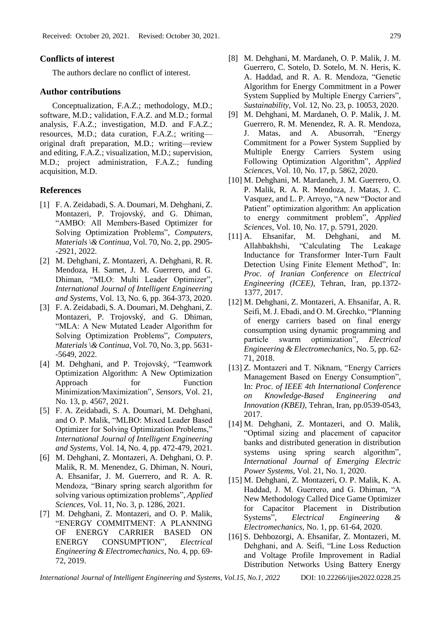## **Conflicts of interest**

The authors declare no conflict of interest.

#### **Author contributions**

Conceptualization, F.A.Z.; methodology, M.D.; software, M.D.; validation, F.A.Z. and M.D.; formal analysis, F.A.Z.; investigation, M.D. and F.A.Z.; resources, M.D.; data curation, F.A.Z.; writing original draft preparation, M.D.; writing—review and editing, F.A.Z.; visualization, M.D.; supervision, M.D.; project administration, F.A.Z.; funding acquisition, M.D.

# **References**

- [1] F. A. Zeidabadi, S. A. Doumari, M. Dehghani, Z. Montazeri, P. Trojovský, and G. Dhiman, "AMBO: All Members-Based Optimizer for Solving Optimization Problems", *Computers, Materials \& Continua*, Vol. 70, No. 2, pp. 2905- -2921, 2022.
- [2] M. Dehghani, Z. Montazeri, A. Dehghani, R. R. Mendoza, H. Samet, J. M. Guerrero, and G. Dhiman, "MLO: Multi Leader Optimizer", *International Journal of Intelligent Engineering and Systems*, Vol. 13, No. 6, pp. 364-373, 2020.
- [3] F. A. Zeidabadi, S. A. Doumari, M. Dehghani, Z. Montazeri, P. Trojovský, and G. Dhiman, "MLA: A New Mutated Leader Algorithm for Solving Optimization Problems", *Computers, Materials \& Continua*, Vol. 70, No. 3, pp. 5631- -5649, 2022.
- [4] M. Dehghani, and P. Trojovský, "Teamwork Optimization Algorithm: A New Optimization Approach for Function Minimization/Maximization", *Sensors*, Vol. 21, No. 13, p. 4567, 2021.
- [5] F. A. Zeidabadi, S. A. Doumari, M. Dehghani, and O. P. Malik, "MLBO: Mixed Leader Based Optimizer for Solving Optimization Problems," *International Journal of Intelligent Engineering and Systems*, Vol. 14, No. 4, pp. 472-479, 2021.
- [6] M. Dehghani, Z. Montazeri, A. Dehghani, O. P. Malik, R. M. Menendez, G. Dhiman, N. Nouri, A. Ehsanifar, J. M. Guerrero, and R. A. R. Mendoza, "Binary spring search algorithm for solving various optimization problems", *Applied Sciences*, Vol. 11, No. 3, p. 1286, 2021.
- [7] M. Dehghani, Z. Montazeri, and O. P. Malik, "ENERGY COMMITMENT: A PLANNING OF ENERGY CARRIER BASED ON ENERGY CONSUMPTION", *Electrical Engineering & Electromechanics*, No. 4, pp. 69- 72, 2019.
- [8] M. Dehghani, M. Mardaneh, O. P. Malik, J. M. Guerrero, C. Sotelo, D. Sotelo, M. N. Heris, K. A. Haddad, and R. A. R. Mendoza, "Genetic Algorithm for Energy Commitment in a Power System Supplied by Multiple Energy Carriers", *Sustainability*, Vol. 12, No. 23, p. 10053, 2020.
- [9] M. Dehghani, M. Mardaneh, O. P. Malik, J. M. Guerrero, R. M. Menendez, R. A. R. Mendoza, J. Matas, and A. Abusorrah, "Energy Commitment for a Power System Supplied by Multiple Energy Carriers System using Following Optimization Algorithm", *Applied Sciences*, Vol. 10, No. 17, p. 5862, 2020.
- [10] M. Dehghani, M. Mardaneh, J. M. Guerrero, O. P. Malik, R. A. R. Mendoza, J. Matas, J. C. Vasquez, and L. P. Arroyo, "A new "Doctor and Patient" optimization algorithm: An application to energy commitment problem", *Applied Sciences*, Vol. 10, No. 17, p. 5791, 2020.
- [11] A. Ehsanifar, M. Dehghani, and M. Allahbakhshi, "Calculating The Leakage Inductance for Transformer Inter-Turn Fault Detection Using Finite Element Method", In: *Proc. of Iranian Conference on Electrical Engineering (ICEE)*, Tehran, Iran, pp.1372- 1377, 2017.
- [12] M. Dehghani, Z. Montazeri, A. Ehsanifar, A. R. Seifi, M. J. Ebadi, and O. M. Grechko, "Planning of energy carriers based on final energy consumption using dynamic programming and particle swarm optimization", *Electrical Engineering & Electromechanics*, No. 5, pp. 62- 71, 2018.
- [13] Z. Montazeri and T. Niknam, "Energy Carriers Management Based on Energy Consumption", In: *Proc. of IEEE 4th International Conference on Knowledge-Based Engineering and Innovation (KBEI)*, Tehran, Iran, pp.0539-0543, 2017.
- [14] M. Dehghani, Z. Montazeri, and O. Malik, "Optimal sizing and placement of capacitor banks and distributed generation in distribution systems using spring search algorithm", *International Journal of Emerging Electric Power Systems*, Vol. 21, No. 1, 2020.
- [15] M. Dehghani, Z. Montazeri, O. P. Malik, K. A. Haddad, J. M. Guerrero, and G. Dhiman, "A New Methodology Called Dice Game Optimizer for Capacitor Placement in Distribution Systems", *Electrical Engineering & Electromechanics*, No. 1, pp. 61-64, 2020.
- [16] S. Dehbozorgi, A. Ehsanifar, Z. Montazeri, M. Dehghani, and A. Seifi, "Line Loss Reduction and Voltage Profile Improvement in Radial Distribution Networks Using Battery Energy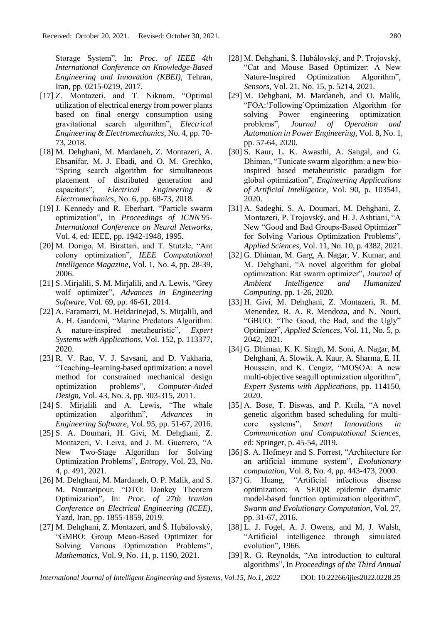Storage System", In: *Proc. of IEEE 4th International Conference on Knowledge-Based Engineering and Innovation (KBEI)*, Tehran, Iran, pp. 0215-0219, 2017.

- [17] Z. Montazeri, and T. Niknam, "Optimal utilization of electrical energy from power plants based on final energy consumption using gravitational search algorithm", *Electrical Engineering & Electromechanics*, No. 4, pp. 70- 73, 2018.
- [18] M. Dehghani, M. Mardaneh, Z. Montazeri, A. Ehsanifar, M. J. Ebadi, and O. M. Grechko, "Spring search algorithm for simultaneous placement of distributed generation and capacitors", *Electrical Engineering & Electromechanics*, No. 6, pp. 68-73, 2018.
- [19] J. Kennedy and R. Eberhart, "Particle swarm optimization", in *Proceedings of ICNN'95- International Conference on Neural Networks*, Vol. 4, ed: IEEE, pp. 1942-1948, 1995.
- [20] M. Dorigo, M. Birattari, and T. Stutzle, "Ant colony optimization", *IEEE Computational Intelligence Magazine*, Vol. 1, No. 4, pp. 28-39, 2006.
- [21] S. Mirjalili, S. M. Mirjalili, and A. Lewis, "Grey wolf optimizer", *Advances in Engineering Software*, Vol. 69, pp. 46-61, 2014.
- [22] A. Faramarzi, M. Heidarinejad, S. Mirjalili, and A. H. Gandomi, "Marine Predators Algorithm: A nature-inspired metaheuristic", *Expert Systems with Applications*, Vol. 152, p. 113377, 2020.
- [23] R. V. Rao, V. J. Savsani, and D. Vakharia, "Teaching–learning-based optimization: a novel method for constrained mechanical design optimization problems", *Computer-Aided Design*, Vol. 43, No. 3, pp. 303-315, 2011.
- [24] S. Mirjalili and A. Lewis, "The whale optimization algorithm", *Advances in Engineering Software*, Vol. 95, pp. 51-67, 2016.
- [25] S. A. Doumari, H. Givi, M. Dehghani, Z. Montazeri, V. Leiva, and J. M. Guerrero, "A New Two-Stage Algorithm for Solving Optimization Problems", *Entropy*, Vol. 23, No. 4, p. 491, 2021.
- [26] M. Dehghani, M. Mardaneh, O. P. Malik, and S. M. Nouraeipour, "DTO: Donkey Theorem Optimization", In: *Proc. of 27th Iranian Conference on Electrical Engineering (ICEE)*, Yazd, Iran, pp. 1855-1859, 2019.
- [27] M. Dehghani, Z. Montazeri, and Š. Hubálovský, "GMBO: Group Mean-Based Optimizer for Solving Various Optimization Problems", *Mathematics*, Vol. 9, No. 11, p. 1190, 2021.
- [28] M. Dehghani, Š. Hubálovský, and P. Trojovský, "Cat and Mouse Based Optimizer: A New Nature-Inspired Optimization Algorithm", *Sensors*, Vol. 21, No. 15, p. 5214, 2021.
- [29] M. Dehghani, M. Mardaneh, and O. Malik, "FOA:'Following'Optimization Algorithm for solving Power engineering optimization problems", *Journal of Operation and Automation in Power Engineering*, Vol. 8, No. 1, pp. 57-64, 2020.
- [30] S. Kaur, L. K. Awasthi, A. Sangal, and G. Dhiman, "Tunicate swarm algorithm: a new bioinspired based metaheuristic paradigm for global optimization", *Engineering Applications of Artificial Intelligence*, Vol. 90, p. 103541, 2020.
- [31] A. Sadeghi, S. A. Doumari, M. Dehghani, Z. Montazeri, P. Trojovský, and H. J. Ashtiani, "A New "Good and Bad Groups-Based Optimizer" for Solving Various Optimization Problems", *Applied Sciences*, Vol. 11, No. 10, p. 4382, 2021.
- [32] G. Dhiman, M. Garg, A. Nagar, V. Kumar, and M. Dehghani, "A novel algorithm for global optimization: Rat swarm optimizer", *Journal of Ambient Intelligence and Humanized Computing*, pp. 1-26, 2020.
- [33] H. Givi, M. Dehghani, Z. Montazeri, R. M. Menendez, R. A. R. Mendoza, and N. Nouri, "GBUO: "The Good, the Bad, and the Ugly" Optimizer", *Applied Sciences*, Vol. 11, No. 5, p. 2042, 2021.
- [34] G. Dhiman, K. K. Singh, M. Soni, A. Nagar, M. Dehghani, A. Slowik, A. Kaur, A. Sharma, E. H. Houssein, and K. Cengiz, "MOSOA: A new multi-objective seagull optimization algorithm", *Expert Systems with Applications*, pp. 114150, 2020.
- [35] A. Bose, T. Biswas, and P. Kuila, "A novel genetic algorithm based scheduling for multicore systems", *Smart Innovations in Communication and Computational Sciences*, ed: Springer, p. 45-54, 2019.
- [36] S. A. Hofmeyr and S. Forrest, "Architecture for an artificial immune system", *Evolutionary computation*, Vol. 8, No. 4, pp. 443-473, 2000.
- [37] G. Huang, "Artificial infectious disease optimization: A SEIQR epidemic dynamic model-based function optimization algorithm", *Swarm and Evolutionary Computation*, Vol. 27, pp. 31-67, 2016.
- [38] L. J. Fogel, A. J. Owens, and M. J. Walsh, "Artificial intelligence through simulated evolution", 1966.
- [39] R. G. Reynolds, "An introduction to cultural algorithms", In *Proceedings of the Third Annual*